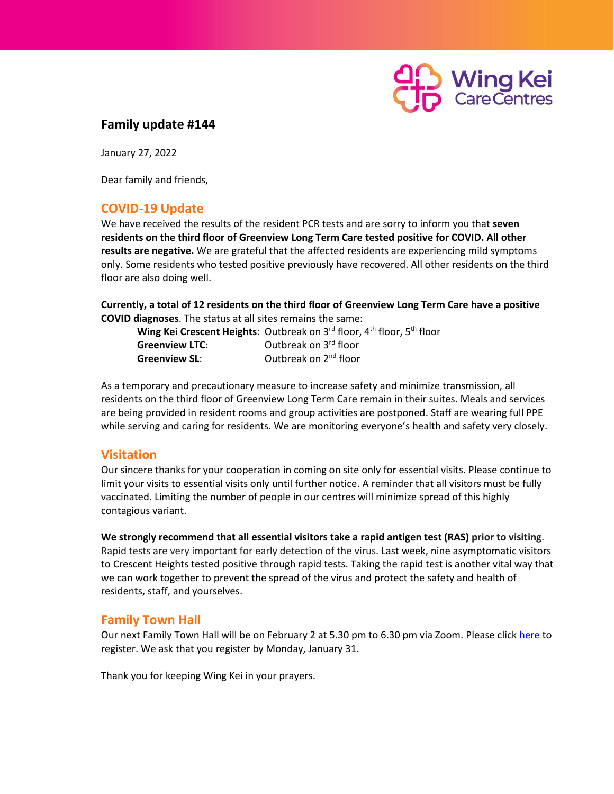

## **Family update #144**

January 27, 2022

Dear family and friends,

## **COVID-19 Update**

We have received the results of the resident PCR tests and are sorry to inform you that **seven residents on the third floor of Greenview Long Term Care tested positive for COVID. All other results are negative.** We are grateful that the affected residents are experiencing mild symptoms only. Some residents who tested positive previously have recovered. All other residents on the third floor are also doing well.

**Currently, a total of 12 residents on the third floor of Greenview Long Term Care have a positive COVID diagnoses**. The status at all sites remains the same:

|                       | Wing Kei Crescent Heights: Outbreak on 3rd floor, 4 <sup>th</sup> floor, 5 <sup>th</sup> floor |
|-----------------------|------------------------------------------------------------------------------------------------|
| <b>Greenview LTC:</b> | Outbreak on 3rd floor                                                                          |
| <b>Greenview SL:</b>  | Outbreak on 2 <sup>nd</sup> floor                                                              |

As a temporary and precautionary measure to increase safety and minimize transmission, all residents on the third floor of Greenview Long Term Care remain in their suites. Meals and services are being provided in resident rooms and group activities are postponed. Staff are wearing full PPE while serving and caring for residents. We are monitoring everyone's health and safety very closely.

## **Visitation**

Our sincere thanks for your cooperation in coming on site only for essential visits. Please continue to limit your visits to essential visits only until further notice. A reminder that all visitors must be fully vaccinated. Limiting the number of people in our centres will minimize spread of this highly contagious variant.

**We strongly recommend that all essential visitors take a rapid antigen test (RAS) prior to visiting**. Rapid tests are very important for early detection of the virus. Last week, nine asymptomatic visitors to Crescent Heights tested positive through rapid tests. Taking the rapid test is another vital way that we can work together to prevent the spread of the virus and protect the safety and health of residents, staff, and yourselves.

## **Family Town Hall**

Our next Family Town Hall will be on February 2 at 5.30 pm to 6.30 pm via Zoom. Please click [here](https://docs.google.com/forms/d/e/1FAIpQLSceR1IF34Uq-UgAq-xVdV2H0EEtbA7SJsiQL1n8oEWhspchYg/viewform?usp=sf_link) to register. We ask that you register by Monday, January 31.

Thank you for keeping Wing Kei in your prayers.